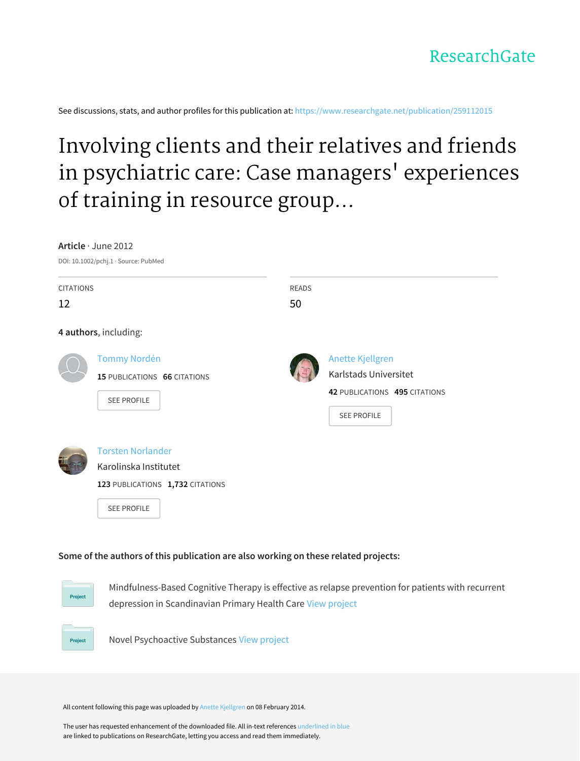See discussions, stats, and author profiles for this publication at: [https://www.researchgate.net/publication/259112015](https://www.researchgate.net/publication/259112015_Involving_clients_and_their_relatives_and_friends_in_psychiatric_care_Case_managers%27_experiences_of_training_in_resource_group_assertive_community_treatment?enrichId=rgreq-39aa488b7090d755fdf82efde278971b-XXX&enrichSource=Y292ZXJQYWdlOzI1OTExMjAxNTtBUzo5NzU5Nzc0NjMxOTM3N0AxNDAwMjgwNTI0NDkx&el=1_x_2&_esc=publicationCoverPdf)

# Involving clients and their relatives and friends in psychiatric care: Case managers' experiences of training in resource group...

|                        | Article · June 2012<br>DOI: 10.1002/pchj.1 · Source: PubMed                                                 |                    |                                                                                                  |
|------------------------|-------------------------------------------------------------------------------------------------------------|--------------------|--------------------------------------------------------------------------------------------------|
| <b>CITATIONS</b><br>12 |                                                                                                             | <b>READS</b><br>50 |                                                                                                  |
|                        | 4 authors, including:                                                                                       |                    |                                                                                                  |
|                        | <b>Tommy Nordén</b><br>15 PUBLICATIONS 66 CITATIONS<br><b>SEE PROFILE</b>                                   |                    | Anette Kjellgren<br>Karlstads Universitet<br>42 PUBLICATIONS 495 CITATIONS<br><b>SEE PROFILE</b> |
|                        | <b>Torsten Norlander</b><br>Karolinska Institutet<br>123 PUBLICATIONS 1,732 CITATIONS<br><b>SEE PROFILE</b> |                    |                                                                                                  |

# **Some of the authors of this publication are also working on these related projects:**



Mindfulness-Based Cognitive Therapy is effective as relapse prevention for patients with recurrent depression in Scandinavian Primary Health Care View [project](https://www.researchgate.net/project/Mindfulness-Based-Cognitive-Therapy-is-effective-as-relapse-prevention-for-patients-with-recurrent-depression-in-Scandinavian-Primary-Health-Care?enrichId=rgreq-39aa488b7090d755fdf82efde278971b-XXX&enrichSource=Y292ZXJQYWdlOzI1OTExMjAxNTtBUzo5NzU5Nzc0NjMxOTM3N0AxNDAwMjgwNTI0NDkx&el=1_x_9&_esc=publicationCoverPdf)



Novel Psychoactive Substances View [project](https://www.researchgate.net/project/Novel-Psychoactive-Substances?enrichId=rgreq-39aa488b7090d755fdf82efde278971b-XXX&enrichSource=Y292ZXJQYWdlOzI1OTExMjAxNTtBUzo5NzU5Nzc0NjMxOTM3N0AxNDAwMjgwNTI0NDkx&el=1_x_9&_esc=publicationCoverPdf)

All content following this page was uploaded by Anette [Kjellgren](https://www.researchgate.net/profile/Anette_Kjellgren?enrichId=rgreq-39aa488b7090d755fdf82efde278971b-XXX&enrichSource=Y292ZXJQYWdlOzI1OTExMjAxNTtBUzo5NzU5Nzc0NjMxOTM3N0AxNDAwMjgwNTI0NDkx&el=1_x_10&_esc=publicationCoverPdf) on 08 February 2014.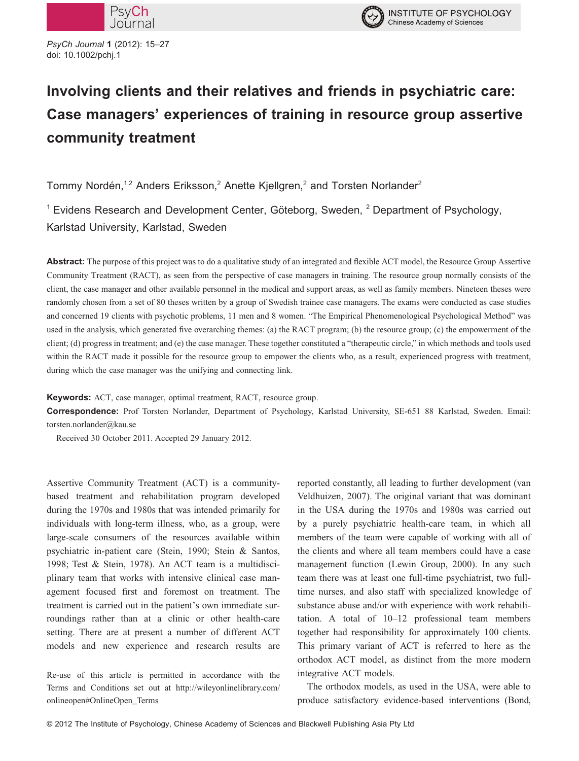



*PsyCh Journal* **1** (2012): 15–27 doi: 10.1002/pchj.1

# **Involving clients and their relatives and friends in psychiatric care: Case managers' experiences of training in resource group assertive community treatment**

Tommy Nordén,<sup>1,2</sup> Anders Eriksson,<sup>2</sup> Anette Kjellgren,<sup>2</sup> and Torsten Norlander<sup>2</sup>

 $1$  Evidens Research and Development Center, Göteborg, Sweden,  $2$  Department of Psychology, Karlstad University, Karlstad, Sweden

Abstract: The purpose of this project was to do a qualitative study of an integrated and flexible ACT model, the Resource Group Assertive Community Treatment (RACT), as seen from the perspective of case managers in training. The resource group normally consists of the client, the case manager and other available personnel in the medical and support areas, as well as family members. Nineteen theses were randomly chosen from a set of 80 theses written by a group of Swedish trainee case managers. The exams were conducted as case studies and concerned 19 clients with psychotic problems, 11 men and 8 women. "The Empirical Phenomenological Psychological Method" was used in the analysis, which generated five overarching themes: (a) the RACT program; (b) the resource group; (c) the empowerment of the client; (d) progress in treatment; and (e) the case manager. These together constituted a "therapeutic circle," in which methods and tools used within the RACT made it possible for the resource group to empower the clients who, as a result, experienced progress with treatment, during which the case manager was the unifying and connecting link.

**Keywords:** ACT, case manager, optimal treatment, RACT, resource group.

**Correspondence:** Prof Torsten Norlander, Department of Psychology, Karlstad University, SE-651 88 Karlstad, Sweden. Email: torsten.norlander@kau.se

Received 30 October 2011. Accepted 29 January 2012.

Assertive Community Treatment (ACT) is a communitybased treatment and rehabilitation program developed during the 1970s and 1980s that was intended primarily for individuals with long-term illness, who, as a group, were large-scale consumers of the resources available within psychiatric in-patient care (Stein, 1990; Stein & Santos, 1998; Test & Stein, 1978). An ACT team is a multidisciplinary team that works with intensive clinical case management focused first and foremost on treatment. The treatment is carried out in the patient's own immediate surroundings rather than at a clinic or other health-care setting. There are at present a number of different ACT models and new experience and research results are

Re-use of this article is permitted in accordance with the Terms and Conditions set out at http://wileyonlinelibrary.com/ onlineopen#OnlineOpen\_Terms

reported constantly, all leading to further development (van Veldhuizen, 2007). The original variant that was dominant in the USA during the 1970s and 1980s was carried out by a purely psychiatric health-care team, in which all members of the team were capable of working with all of the clients and where all team members could have a case management function (Lewin Group, 2000). In any such team there was at least one full-time psychiatrist, two fulltime nurses, and also staff with specialized knowledge of substance abuse and/or with experience with work rehabilitation. A total of 10–12 professional team members together had responsibility for approximately 100 clients. This primary variant of ACT is referred to here as the orthodox ACT model, as distinct from the more modern integrative ACT models.

The orthodox models, as used in the USA, were able to produce satisfactory evidence-based interventions (Bond,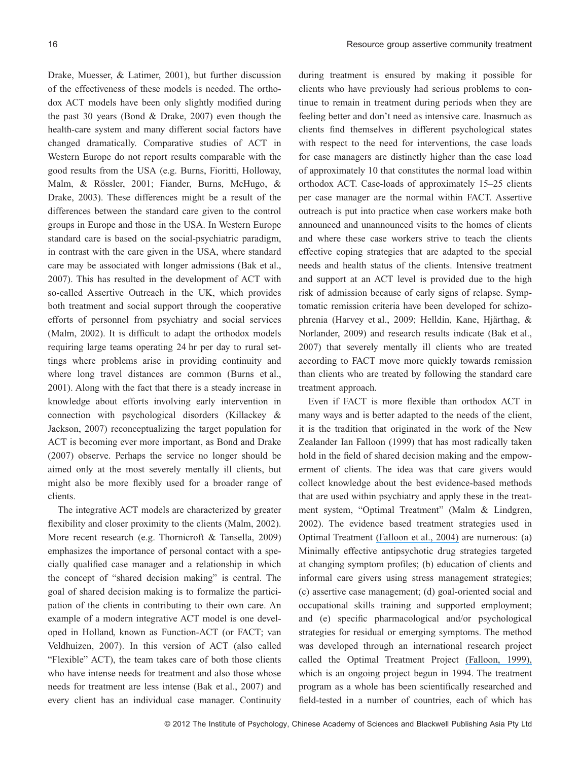Drake, Muesser, & Latimer, 2001), but further discussion of the effectiveness of these models is needed. The orthodox ACT models have been only slightly modified during the past 30 years (Bond & Drake, 2007) even though the health-care system and many different social factors have changed dramatically. Comparative studies of ACT in Western Europe do not report results comparable with the good results from the USA (e.g. Burns, Fioritti, Holloway, Malm, & Rössler, 2001; Fiander, Burns, McHugo, & Drake, 2003). These differences might be a result of the differences between the standard care given to the control groups in Europe and those in the USA. In Western Europe standard care is based on the social-psychiatric paradigm, in contrast with the care given in the USA, where standard care may be associated with longer admissions (Bak et al., 2007). This has resulted in the development of ACT with so-called Assertive Outreach in the UK, which provides both treatment and social support through the cooperative efforts of personnel from psychiatry and social services (Malm, 2002). It is difficult to adapt the orthodox models requiring large teams operating 24 hr per day to rural settings where problems arise in providing continuity and where long travel distances are common (Burns et al., 2001). Along with the fact that there is a steady increase in knowledge about efforts involving early intervention in connection with psychological disorders (Killackey & Jackson, 2007) reconceptualizing the target population for ACT is becoming ever more important, as Bond and Drake (2007) observe. Perhaps the service no longer should be aimed only at the most severely mentally ill clients, but might also be more flexibly used for a broader range of clients.

The integrative ACT models are characterized by greater flexibility and closer proximity to the clients (Malm, 2002). More recent research (e.g. Thornicroft & Tansella, 2009) emphasizes the importance of personal contact with a specially qualified case manager and a relationship in which the concept of "shared decision making" is central. The goal of shared decision making is to formalize the participation of the clients in contributing to their own care. An example of a modern integrative ACT model is one developed in Holland, known as Function-ACT (or FACT; van Veldhuizen, 2007). In this version of ACT (also called "Flexible" ACT), the team takes care of both those clients who have intense needs for treatment and also those whose needs for treatment are less intense (Bak et al., 2007) and every client has an individual case manager. Continuity

during treatment is ensured by making it possible for clients who have previously had serious problems to continue to remain in treatment during periods when they are feeling better and don't need as intensive care. Inasmuch as clients find themselves in different psychological states with respect to the need for interventions, the case loads for case managers are distinctly higher than the case load of approximately 10 that constitutes the normal load within orthodox ACT. Case-loads of approximately 15–25 clients per case manager are the normal within FACT. Assertive outreach is put into practice when case workers make both announced and unannounced visits to the homes of clients and where these case workers strive to teach the clients effective coping strategies that are adapted to the special needs and health status of the clients. Intensive treatment and support at an ACT level is provided due to the high risk of admission because of early signs of relapse. Symptomatic remission criteria have been developed for schizophrenia (Harvey et al., 2009; Helldin, Kane, Hjärthag, & Norlander, 2009) and research results indicate (Bak et al., 2007) that severely mentally ill clients who are treated according to FACT move more quickly towards remission than clients who are treated by following the standard care treatment approach.

Even if FACT is more flexible than orthodox ACT in many ways and is better adapted to the needs of the client, it is the tradition that originated in the work of the New Zealander Ian Falloon (1999) that has most radically taken hold in the field of shared decision making and the empowerment of clients. The idea was that care givers would collect knowledge about the best evidence-based methods that are used within psychiatry and apply these in the treatment system, "Optimal Treatment" (Malm & Lindgren, 2002). The evidence based treatment strategies used in Optimal Treatment [\(Falloon et al., 2004\)](https://www.researchgate.net/publication/7148290_Implementation_of_evidence-based_treatment_for_schizophrenic_disorders_two-year_outcome_of_an_international_field_trial_of_optimal_treatment?el=1_x_8&enrichId=rgreq-39aa488b7090d755fdf82efde278971b-XXX&enrichSource=Y292ZXJQYWdlOzI1OTExMjAxNTtBUzo5NzU5Nzc0NjMxOTM3N0AxNDAwMjgwNTI0NDkx) are numerous: (a) Minimally effective antipsychotic drug strategies targeted at changing symptom profiles; (b) education of clients and informal care givers using stress management strategies; (c) assertive case management; (d) goal-oriented social and occupational skills training and supported employment; and (e) specific pharmacological and/or psychological strategies for residual or emerging symptoms. The method was developed through an international research project called the Optimal Treatment Project [\(Falloon, 1999\),](https://www.researchgate.net/publication/12965625_Optimal_treatment_for_psychosis_in_an_International_Multisite_Demonstration_Project?el=1_x_8&enrichId=rgreq-39aa488b7090d755fdf82efde278971b-XXX&enrichSource=Y292ZXJQYWdlOzI1OTExMjAxNTtBUzo5NzU5Nzc0NjMxOTM3N0AxNDAwMjgwNTI0NDkx) which is an ongoing project begun in 1994. The treatment program as a whole has been scientifically researched and field-tested in a number of countries, each of which has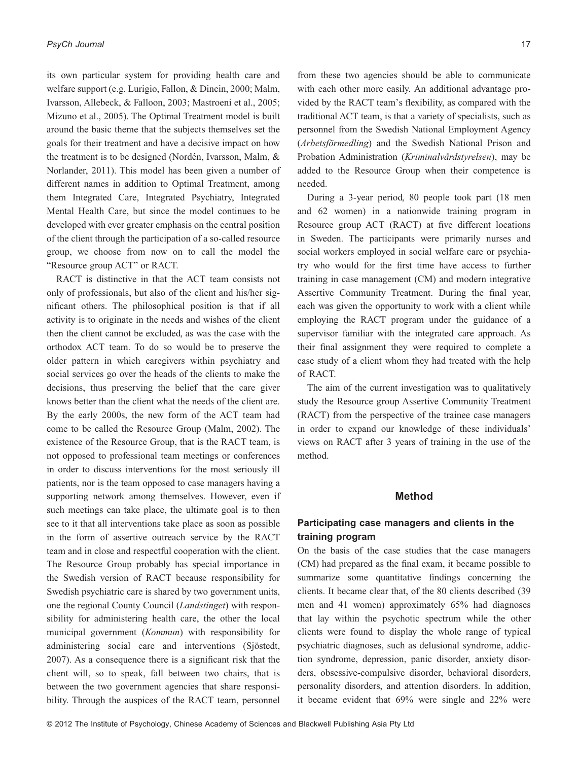its own particular system for providing health care and welfare support (e.g. Lurigio, Fallon, & Dincin, 2000; Malm, Ivarsson, Allebeck, & Falloon, 2003; Mastroeni et al., 2005; Mizuno et al., 2005). The Optimal Treatment model is built around the basic theme that the subjects themselves set the goals for their treatment and have a decisive impact on how the treatment is to be designed (Nordén, Ivarsson, Malm, & Norlander, 2011). This model has been given a number of different names in addition to Optimal Treatment, among them Integrated Care, Integrated Psychiatry, Integrated Mental Health Care, but since the model continues to be developed with ever greater emphasis on the central position of the client through the participation of a so-called resource group, we choose from now on to call the model the "Resource group ACT" or RACT.

RACT is distinctive in that the ACT team consists not only of professionals, but also of the client and his/her significant others. The philosophical position is that if all activity is to originate in the needs and wishes of the client then the client cannot be excluded, as was the case with the orthodox ACT team. To do so would be to preserve the older pattern in which caregivers within psychiatry and social services go over the heads of the clients to make the decisions, thus preserving the belief that the care giver knows better than the client what the needs of the client are. By the early 2000s, the new form of the ACT team had come to be called the Resource Group (Malm, 2002). The existence of the Resource Group, that is the RACT team, is not opposed to professional team meetings or conferences in order to discuss interventions for the most seriously ill patients, nor is the team opposed to case managers having a supporting network among themselves. However, even if such meetings can take place, the ultimate goal is to then see to it that all interventions take place as soon as possible in the form of assertive outreach service by the RACT team and in close and respectful cooperation with the client. The Resource Group probably has special importance in the Swedish version of RACT because responsibility for Swedish psychiatric care is shared by two government units, one the regional County Council (*Landstinget*) with responsibility for administering health care, the other the local municipal government (*Kommun*) with responsibility for administering social care and interventions (Sjöstedt, 2007). As a consequence there is a significant risk that the client will, so to speak, fall between two chairs, that is between the two government agencies that share responsibility. Through the auspices of the RACT team, personnel

Probation Administration (*Kriminalvårdstyrelsen*), may be added to the Resource Group when their competence is needed. During a 3-year period, 80 people took part (18 men and 62 women) in a nationwide training program in Resource group ACT (RACT) at five different locations in Sweden. The participants were primarily nurses and social workers employed in social welfare care or psychiatry who would for the first time have access to further training in case management (CM) and modern integrative Assertive Community Treatment. During the final year, each was given the opportunity to work with a client while employing the RACT program under the guidance of a supervisor familiar with the integrated care approach. As their final assignment they were required to complete a case study of a client whom they had treated with the help

from these two agencies should be able to communicate with each other more easily. An additional advantage provided by the RACT team's flexibility, as compared with the traditional ACT team, is that a variety of specialists, such as personnel from the Swedish National Employment Agency (*Arbetsförmedling*) and the Swedish National Prison and

The aim of the current investigation was to qualitatively study the Resource group Assertive Community Treatment (RACT) from the perspective of the trainee case managers in order to expand our knowledge of these individuals' views on RACT after 3 years of training in the use of the method.

of RACT.

#### **Method**

# **Participating case managers and clients in the training program**

On the basis of the case studies that the case managers (CM) had prepared as the final exam, it became possible to summarize some quantitative findings concerning the clients. It became clear that, of the 80 clients described (39 men and 41 women) approximately 65% had diagnoses that lay within the psychotic spectrum while the other clients were found to display the whole range of typical psychiatric diagnoses, such as delusional syndrome, addiction syndrome, depression, panic disorder, anxiety disorders, obsessive-compulsive disorder, behavioral disorders, personality disorders, and attention disorders. In addition, it became evident that 69% were single and 22% were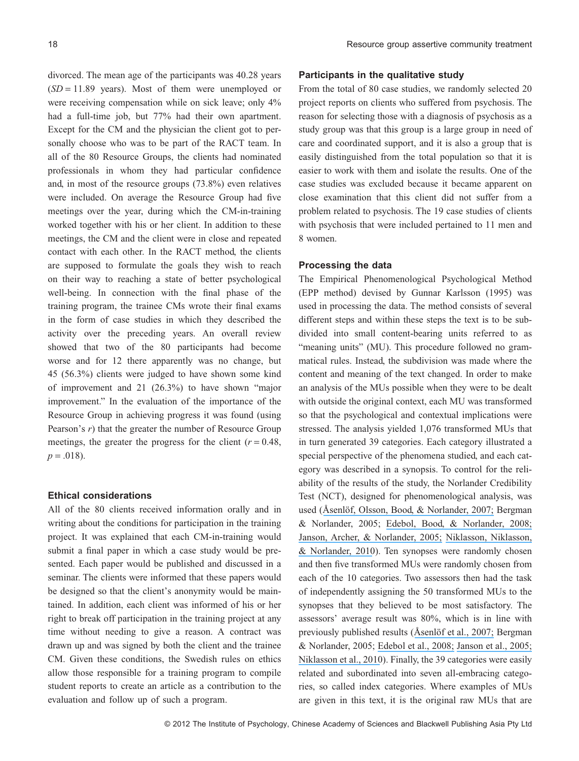divorced. The mean age of the participants was 40.28 years  $(SD = 11.89$  years). Most of them were unemployed or were receiving compensation while on sick leave; only 4% had a full-time job, but 77% had their own apartment. Except for the CM and the physician the client got to personally choose who was to be part of the RACT team. In all of the 80 Resource Groups, the clients had nominated professionals in whom they had particular confidence and, in most of the resource groups (73.8%) even relatives were included. On average the Resource Group had five meetings over the year, during which the CM-in-training worked together with his or her client. In addition to these meetings, the CM and the client were in close and repeated contact with each other. In the RACT method, the clients are supposed to formulate the goals they wish to reach on their way to reaching a state of better psychological well-being. In connection with the final phase of the training program, the trainee CMs wrote their final exams in the form of case studies in which they described the activity over the preceding years. An overall review showed that two of the 80 participants had become worse and for 12 there apparently was no change, but 45 (56.3%) clients were judged to have shown some kind of improvement and 21 (26.3%) to have shown "major improvement." In the evaluation of the importance of the Resource Group in achieving progress it was found (using Pearson's *r*) that the greater the number of Resource Group meetings, the greater the progress for the client  $(r = 0.48,$  $p = .018$ ).

# **Ethical considerations**

All of the 80 clients received information orally and in writing about the conditions for participation in the training project. It was explained that each CM-in-training would submit a final paper in which a case study would be presented. Each paper would be published and discussed in a seminar. The clients were informed that these papers would be designed so that the client's anonymity would be maintained. In addition, each client was informed of his or her right to break off participation in the training project at any time without needing to give a reason. A contract was drawn up and was signed by both the client and the trainee CM. Given these conditions, the Swedish rules on ethics allow those responsible for a training program to compile student reports to create an article as a contribution to the evaluation and follow up of such a program.

#### **Participants in the qualitative study**

From the total of 80 case studies, we randomly selected 20 project reports on clients who suffered from psychosis. The reason for selecting those with a diagnosis of psychosis as a study group was that this group is a large group in need of care and coordinated support, and it is also a group that is easily distinguished from the total population so that it is easier to work with them and isolate the results. One of the case studies was excluded because it became apparent on close examination that this client did not suffer from a problem related to psychosis. The 19 case studies of clients with psychosis that were included pertained to 11 men and 8 women.

#### **Processing the data**

The Empirical Phenomenological Psychological Method (EPP method) devised by Gunnar Karlsson (1995) was used in processing the data. The method consists of several different steps and within these steps the text is to be subdivided into small content-bearing units referred to as "meaning units" (MU). This procedure followed no grammatical rules. Instead, the subdivision was made where the content and meaning of the text changed. In order to make an analysis of the MUs possible when they were to be dealt with outside the original context, each MU was transformed so that the psychological and contextual implications were stressed. The analysis yielded 1,076 transformed MUs that in turn generated 39 categories. Each category illustrated a special perspective of the phenomena studied, and each category was described in a synopsis. To control for the reliability of the results of the study, the Norlander Credibility Test (NCT), designed for phenomenological analysis, was used ([Åsenlöf, Olsson, Bood, & Norlander, 2007;](https://www.researchgate.net/publication/240302679_Case_Studies_on_Fibromyalgia_and_Burn-Out_Depression_Using_Psychotherapy_in_Combination_with_Flotation-Rest_Personality_Development_and_Increased_Well-Being?el=1_x_8&enrichId=rgreq-39aa488b7090d755fdf82efde278971b-XXX&enrichSource=Y292ZXJQYWdlOzI1OTExMjAxNTtBUzo5NzU5Nzc0NjMxOTM3N0AxNDAwMjgwNTI0NDkx) Bergman & Norlander, 2005; [Edebol, Bood, & Norlander, 2008;](https://www.researchgate.net/publication/5498508_Chronic_Whiplash-Associated_Disorders_and_Their_Treatment_Using_Flotation-REST_Restricted_Environmental_Stimulation_Technique?el=1_x_8&enrichId=rgreq-39aa488b7090d755fdf82efde278971b-XXX&enrichSource=Y292ZXJQYWdlOzI1OTExMjAxNTtBUzo5NzU5Nzc0NjMxOTM3N0AxNDAwMjgwNTI0NDkx) [Janson, Archer, & Norlander, 2005;](https://www.researchgate.net/publication/254797688_Achievement_of_Timing_at_the_Highest_Competitive_Level_The_Necessity_of_a_) [Niklasson, Niklasson,](https://www.researchgate.net/publication/233504449_Sensorimotor_therapy_Physical_and_psychological_regressions_contribute_to_an_improved_kinesthetic_and_vestibular_capacity_in_children_and_adolescents_with_motor_difficulties_and_concentration_problems?el=1_x_8&enrichId=rgreq-39aa488b7090d755fdf82efde278971b-XXX&enrichSource=Y292ZXJQYWdlOzI1OTExMjAxNTtBUzo5NzU5Nzc0NjMxOTM3N0AxNDAwMjgwNTI0NDkx) [& Norlander, 2010](https://www.researchgate.net/publication/233504449_Sensorimotor_therapy_Physical_and_psychological_regressions_contribute_to_an_improved_kinesthetic_and_vestibular_capacity_in_children_and_adolescents_with_motor_difficulties_and_concentration_problems?el=1_x_8&enrichId=rgreq-39aa488b7090d755fdf82efde278971b-XXX&enrichSource=Y292ZXJQYWdlOzI1OTExMjAxNTtBUzo5NzU5Nzc0NjMxOTM3N0AxNDAwMjgwNTI0NDkx)). Ten synopses were randomly chosen and then five transformed MUs were randomly chosen from each of the 10 categories. Two assessors then had the task of independently assigning the 50 transformed MUs to the synopses that they believed to be most satisfactory. The assessors' average result was 80%, which is in line with previously published results ([Åsenlöf et al., 2007;](https://www.researchgate.net/publication/240302679_Case_Studies_on_Fibromyalgia_and_Burn-Out_Depression_Using_Psychotherapy_in_Combination_with_Flotation-Rest_Personality_Development_and_Increased_Well-Being?el=1_x_8&enrichId=rgreq-39aa488b7090d755fdf82efde278971b-XXX&enrichSource=Y292ZXJQYWdlOzI1OTExMjAxNTtBUzo5NzU5Nzc0NjMxOTM3N0AxNDAwMjgwNTI0NDkx) Bergman & Norlander, 2005; [Edebol et al., 2008;](https://www.researchgate.net/publication/5498508_Chronic_Whiplash-Associated_Disorders_and_Their_Treatment_Using_Flotation-REST_Restricted_Environmental_Stimulation_Technique?el=1_x_8&enrichId=rgreq-39aa488b7090d755fdf82efde278971b-XXX&enrichSource=Y292ZXJQYWdlOzI1OTExMjAxNTtBUzo5NzU5Nzc0NjMxOTM3N0AxNDAwMjgwNTI0NDkx) [Janson et al., 2005;](https://www.researchgate.net/publication/254797688_Achievement_of_Timing_at_the_Highest_Competitive_Level_The_Necessity_of_a_) [Niklasson et al., 2010](https://www.researchgate.net/publication/233504449_Sensorimotor_therapy_Physical_and_psychological_regressions_contribute_to_an_improved_kinesthetic_and_vestibular_capacity_in_children_and_adolescents_with_motor_difficulties_and_concentration_problems?el=1_x_8&enrichId=rgreq-39aa488b7090d755fdf82efde278971b-XXX&enrichSource=Y292ZXJQYWdlOzI1OTExMjAxNTtBUzo5NzU5Nzc0NjMxOTM3N0AxNDAwMjgwNTI0NDkx)). Finally, the 39 categories were easily related and subordinated into seven all-embracing categories, so called index categories. Where examples of MUs are given in this text, it is the original raw MUs that are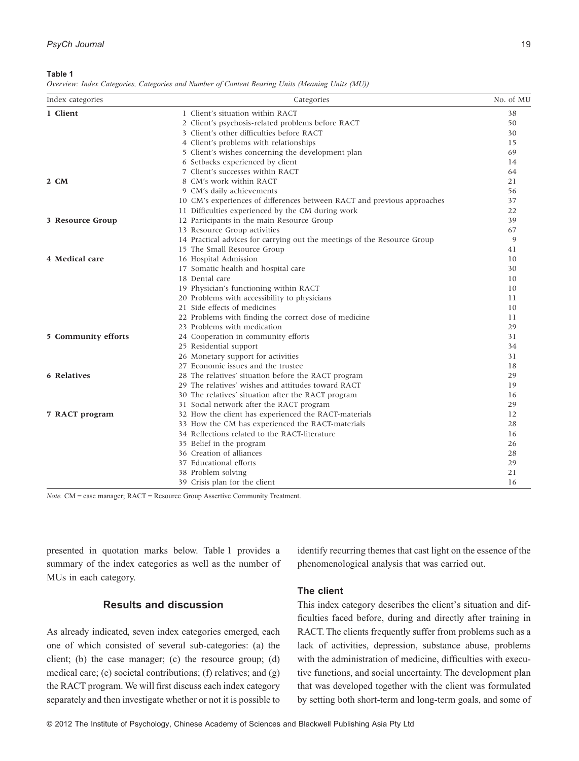| Index categories    | Categories                                                               |    |
|---------------------|--------------------------------------------------------------------------|----|
| 1 Client            | 1 Client's situation within RACT                                         | 38 |
|                     | 2 Client's psychosis-related problems before RACT                        | 50 |
|                     | 3 Client's other difficulties before RACT                                | 30 |
|                     | 4 Client's problems with relationships                                   | 15 |
|                     | 5 Client's wishes concerning the development plan                        | 69 |
|                     | 6 Setbacks experienced by client                                         | 14 |
|                     | 7 Client's successes within RACT                                         | 64 |
| 2 CM                | 8 CM's work within RACT                                                  | 21 |
|                     | 9 CM's daily achievements                                                | 56 |
|                     | 10 CM's experiences of differences between RACT and previous approaches  | 37 |
|                     | 11 Difficulties experienced by the CM during work                        | 22 |
| 3 Resource Group    | 12 Participants in the main Resource Group                               | 39 |
|                     | 13 Resource Group activities                                             | 67 |
|                     | 14 Practical advices for carrying out the meetings of the Resource Group | 9  |
|                     | 15 The Small Resource Group                                              | 41 |
| 4 Medical care      | 16 Hospital Admission                                                    | 10 |
|                     | 17 Somatic health and hospital care                                      | 30 |
|                     | 18 Dental care                                                           | 10 |
|                     | 19 Physician's functioning within RACT                                   | 10 |
|                     | 20 Problems with accessibility to physicians                             | 11 |
|                     | 21 Side effects of medicines                                             | 10 |
|                     | 22 Problems with finding the correct dose of medicine                    | 11 |
|                     | 23 Problems with medication                                              | 29 |
| 5 Community efforts | 24 Cooperation in community efforts                                      | 31 |
|                     | 25 Residential support                                                   | 34 |
|                     | 26 Monetary support for activities                                       | 31 |
|                     | 27 Economic issues and the trustee                                       | 18 |
| <b>6 Relatives</b>  | 28 The relatives' situation before the RACT program                      | 29 |
|                     | 29 The relatives' wishes and attitudes toward RACT                       | 19 |
|                     | 30 The relatives' situation after the RACT program                       | 16 |
|                     | 31 Social network after the RACT program                                 | 29 |
| 7 RACT program      | 32 How the client has experienced the RACT-materials                     | 12 |
|                     | 33 How the CM has experienced the RACT-materials                         | 28 |
|                     | 34 Reflections related to the RACT-literature                            | 16 |
|                     | 35 Belief in the program                                                 | 26 |
|                     | 36 Creation of alliances                                                 | 28 |
|                     | 37 Educational efforts                                                   | 29 |
|                     | 38 Problem solving                                                       | 21 |
|                     | 39 Crisis plan for the client                                            | 16 |

*Note.* CM = case manager; RACT = Resource Group Assertive Community Treatment.

presented in quotation marks below. Table 1 provides a summary of the index categories as well as the number of MUs in each category.

# **Results and discussion**

As already indicated, seven index categories emerged, each one of which consisted of several sub-categories: (a) the client; (b) the case manager; (c) the resource group; (d) medical care; (e) societal contributions; (f) relatives; and (g) the RACT program. We will first discuss each index category separately and then investigate whether or not it is possible to

identify recurring themes that cast light on the essence of the phenomenological analysis that was carried out.

# **The client**

This index category describes the client's situation and difficulties faced before, during and directly after training in RACT. The clients frequently suffer from problems such as a lack of activities, depression, substance abuse, problems with the administration of medicine, difficulties with executive functions, and social uncertainty. The development plan that was developed together with the client was formulated by setting both short-term and long-term goals, and some of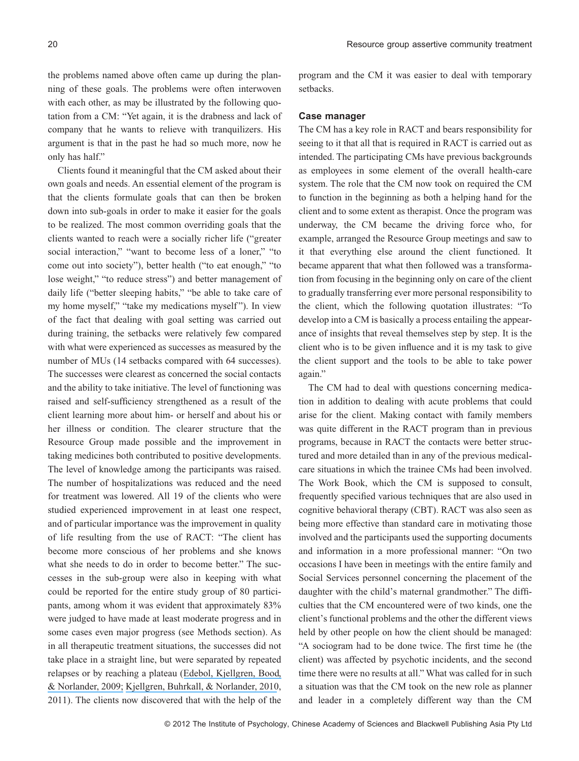the problems named above often came up during the planning of these goals. The problems were often interwoven with each other, as may be illustrated by the following quotation from a CM: "Yet again, it is the drabness and lack of company that he wants to relieve with tranquilizers. His argument is that in the past he had so much more, now he only has half."

Clients found it meaningful that the CM asked about their own goals and needs. An essential element of the program is that the clients formulate goals that can then be broken down into sub-goals in order to make it easier for the goals to be realized. The most common overriding goals that the clients wanted to reach were a socially richer life ("greater social interaction," "want to become less of a loner," "to come out into society"), better health ("to eat enough," "to lose weight," "to reduce stress") and better management of daily life ("better sleeping habits," "be able to take care of my home myself," "take my medications myself"). In view of the fact that dealing with goal setting was carried out during training, the setbacks were relatively few compared with what were experienced as successes as measured by the number of MUs (14 setbacks compared with 64 successes). The successes were clearest as concerned the social contacts and the ability to take initiative. The level of functioning was raised and self-sufficiency strengthened as a result of the client learning more about him- or herself and about his or her illness or condition. The clearer structure that the Resource Group made possible and the improvement in taking medicines both contributed to positive developments. The level of knowledge among the participants was raised. The number of hospitalizations was reduced and the need for treatment was lowered. All 19 of the clients who were studied experienced improvement in at least one respect, and of particular importance was the improvement in quality of life resulting from the use of RACT: "The client has become more conscious of her problems and she knows what she needs to do in order to become better." The successes in the sub-group were also in keeping with what could be reported for the entire study group of 80 participants, among whom it was evident that approximately 83% were judged to have made at least moderate progress and in some cases even major progress (see Methods section). As in all therapeutic treatment situations, the successes did not take place in a straight line, but were separated by repeated relapses or by reaching a plateau ([Edebol, Kjellgren, Bood,](https://www.researchgate.net/publication/38012295_Enhanced_independence_and_quality_of_life_through_treatment_with_flotation-Restricted_Environmental_Stimulation_Technique_of_a_patient_with_both_Attention_Deficit_Hyperactivity_Disorder_and_Aspergers_?el=1_x_8&enrichId=rgreq-39aa488b7090d755fdf82efde278971b-XXX&enrichSource=Y292ZXJQYWdlOzI1OTExMjAxNTtBUzo5NzU5Nzc0NjMxOTM3N0AxNDAwMjgwNTI0NDkx) [& Norlander, 2009;](https://www.researchgate.net/publication/38012295_Enhanced_independence_and_quality_of_life_through_treatment_with_flotation-Restricted_Environmental_Stimulation_Technique_of_a_patient_with_both_Attention_Deficit_Hyperactivity_Disorder_and_Aspergers_?el=1_x_8&enrichId=rgreq-39aa488b7090d755fdf82efde278971b-XXX&enrichSource=Y292ZXJQYWdlOzI1OTExMjAxNTtBUzo5NzU5Nzc0NjMxOTM3N0AxNDAwMjgwNTI0NDkx) [Kjellgren, Buhrkall, & Norlander, 2010](https://www.researchgate.net/publication/228342931_Psychotherapeutic_Treatment_in_Combination_with_Relaxation_in_a_Flotation_Tank_Effects_on_Burn-Out_Syndrome?el=1_x_8&enrichId=rgreq-39aa488b7090d755fdf82efde278971b-XXX&enrichSource=Y292ZXJQYWdlOzI1OTExMjAxNTtBUzo5NzU5Nzc0NjMxOTM3N0AxNDAwMjgwNTI0NDkx), 2011). The clients now discovered that with the help of the

program and the CM it was easier to deal with temporary setbacks.

#### **Case manager**

The CM has a key role in RACT and bears responsibility for seeing to it that all that is required in RACT is carried out as intended. The participating CMs have previous backgrounds as employees in some element of the overall health-care system. The role that the CM now took on required the CM to function in the beginning as both a helping hand for the client and to some extent as therapist. Once the program was underway, the CM became the driving force who, for example, arranged the Resource Group meetings and saw to it that everything else around the client functioned. It became apparent that what then followed was a transformation from focusing in the beginning only on care of the client to gradually transferring ever more personal responsibility to the client, which the following quotation illustrates: "To develop into a CM is basically a process entailing the appearance of insights that reveal themselves step by step. It is the client who is to be given influence and it is my task to give the client support and the tools to be able to take power again."

The CM had to deal with questions concerning medication in addition to dealing with acute problems that could arise for the client. Making contact with family members was quite different in the RACT program than in previous programs, because in RACT the contacts were better structured and more detailed than in any of the previous medicalcare situations in which the trainee CMs had been involved. The Work Book, which the CM is supposed to consult, frequently specified various techniques that are also used in cognitive behavioral therapy (CBT). RACT was also seen as being more effective than standard care in motivating those involved and the participants used the supporting documents and information in a more professional manner: "On two occasions I have been in meetings with the entire family and Social Services personnel concerning the placement of the daughter with the child's maternal grandmother." The difficulties that the CM encountered were of two kinds, one the client's functional problems and the other the different views held by other people on how the client should be managed: "A sociogram had to be done twice. The first time he (the client) was affected by psychotic incidents, and the second time there were no results at all." What was called for in such a situation was that the CM took on the new role as planner and leader in a completely different way than the CM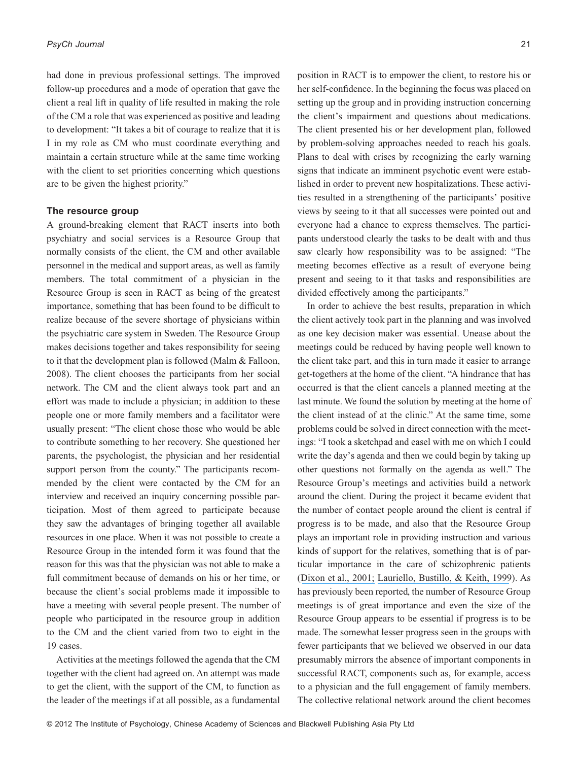#### *PsyCh Journal* 21

had done in previous professional settings. The improved follow-up procedures and a mode of operation that gave the client a real lift in quality of life resulted in making the role of the CM a role that was experienced as positive and leading to development: "It takes a bit of courage to realize that it is I in my role as CM who must coordinate everything and maintain a certain structure while at the same time working with the client to set priorities concerning which questions are to be given the highest priority."

#### **The resource group**

A ground-breaking element that RACT inserts into both psychiatry and social services is a Resource Group that normally consists of the client, the CM and other available personnel in the medical and support areas, as well as family members. The total commitment of a physician in the Resource Group is seen in RACT as being of the greatest importance, something that has been found to be difficult to realize because of the severe shortage of physicians within the psychiatric care system in Sweden. The Resource Group makes decisions together and takes responsibility for seeing to it that the development plan is followed (Malm & Falloon, 2008). The client chooses the participants from her social network. The CM and the client always took part and an effort was made to include a physician; in addition to these people one or more family members and a facilitator were usually present: "The client chose those who would be able to contribute something to her recovery. She questioned her parents, the psychologist, the physician and her residential support person from the county." The participants recommended by the client were contacted by the CM for an interview and received an inquiry concerning possible participation. Most of them agreed to participate because they saw the advantages of bringing together all available resources in one place. When it was not possible to create a Resource Group in the intended form it was found that the reason for this was that the physician was not able to make a full commitment because of demands on his or her time, or because the client's social problems made it impossible to have a meeting with several people present. The number of people who participated in the resource group in addition to the CM and the client varied from two to eight in the 19 cases.

Activities at the meetings followed the agenda that the CM together with the client had agreed on. An attempt was made to get the client, with the support of the CM, to function as the leader of the meetings if at all possible, as a fundamental

position in RACT is to empower the client, to restore his or her self-confidence. In the beginning the focus was placed on setting up the group and in providing instruction concerning the client's impairment and questions about medications. The client presented his or her development plan, followed by problem-solving approaches needed to reach his goals. Plans to deal with crises by recognizing the early warning signs that indicate an imminent psychotic event were established in order to prevent new hospitalizations. These activities resulted in a strengthening of the participants' positive views by seeing to it that all successes were pointed out and everyone had a chance to express themselves. The participants understood clearly the tasks to be dealt with and thus saw clearly how responsibility was to be assigned: "The meeting becomes effective as a result of everyone being present and seeing to it that tasks and responsibilities are divided effectively among the participants."

In order to achieve the best results, preparation in which the client actively took part in the planning and was involved as one key decision maker was essential. Unease about the meetings could be reduced by having people well known to the client take part, and this in turn made it easier to arrange get-togethers at the home of the client. "A hindrance that has occurred is that the client cancels a planned meeting at the last minute. We found the solution by meeting at the home of the client instead of at the clinic." At the same time, some problems could be solved in direct connection with the meetings: "I took a sketchpad and easel with me on which I could write the day's agenda and then we could begin by taking up other questions not formally on the agenda as well." The Resource Group's meetings and activities build a network around the client. During the project it became evident that the number of contact people around the client is central if progress is to be made, and also that the Resource Group plays an important role in providing instruction and various kinds of support for the relatives, something that is of particular importance in the care of schizophrenic patients ([Dixon et al., 2001;](https://www.researchgate.net/publication/11908038_Evidence-Based_Practices_for_Services_to_Families_of_People_With_Psychiatric_Disabilities?el=1_x_8&enrichId=rgreq-39aa488b7090d755fdf82efde278971b-XXX&enrichSource=Y292ZXJQYWdlOzI1OTExMjAxNTtBUzo5NzU5Nzc0NjMxOTM3N0AxNDAwMjgwNTI0NDkx) [Lauriello, Bustillo, & Keith, 1999](https://www.researchgate.net/publication/12723707_A_critical_review_of_research_on_psychosocial_treatment_of_schizophrenia?el=1_x_8&enrichId=rgreq-39aa488b7090d755fdf82efde278971b-XXX&enrichSource=Y292ZXJQYWdlOzI1OTExMjAxNTtBUzo5NzU5Nzc0NjMxOTM3N0AxNDAwMjgwNTI0NDkx)). As has previously been reported, the number of Resource Group meetings is of great importance and even the size of the Resource Group appears to be essential if progress is to be made. The somewhat lesser progress seen in the groups with fewer participants that we believed we observed in our data presumably mirrors the absence of important components in successful RACT, components such as, for example, access to a physician and the full engagement of family members. The collective relational network around the client becomes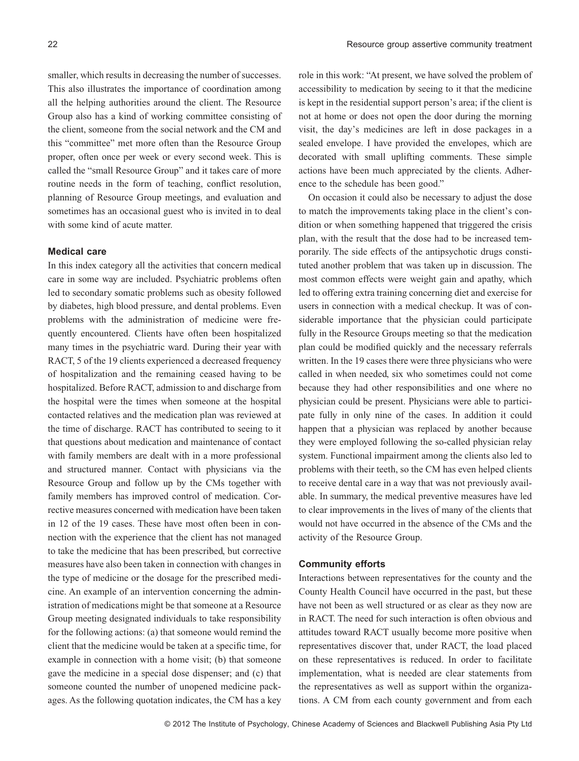smaller, which results in decreasing the number of successes. This also illustrates the importance of coordination among all the helping authorities around the client. The Resource Group also has a kind of working committee consisting of the client, someone from the social network and the CM and this "committee" met more often than the Resource Group proper, often once per week or every second week. This is called the "small Resource Group" and it takes care of more routine needs in the form of teaching, conflict resolution, planning of Resource Group meetings, and evaluation and sometimes has an occasional guest who is invited in to deal with some kind of acute matter.

## **Medical care**

In this index category all the activities that concern medical care in some way are included. Psychiatric problems often led to secondary somatic problems such as obesity followed by diabetes, high blood pressure, and dental problems. Even problems with the administration of medicine were frequently encountered. Clients have often been hospitalized many times in the psychiatric ward. During their year with RACT, 5 of the 19 clients experienced a decreased frequency of hospitalization and the remaining ceased having to be hospitalized. Before RACT, admission to and discharge from the hospital were the times when someone at the hospital contacted relatives and the medication plan was reviewed at the time of discharge. RACT has contributed to seeing to it that questions about medication and maintenance of contact with family members are dealt with in a more professional and structured manner. Contact with physicians via the Resource Group and follow up by the CMs together with family members has improved control of medication. Corrective measures concerned with medication have been taken in 12 of the 19 cases. These have most often been in connection with the experience that the client has not managed to take the medicine that has been prescribed, but corrective measures have also been taken in connection with changes in the type of medicine or the dosage for the prescribed medicine. An example of an intervention concerning the administration of medications might be that someone at a Resource Group meeting designated individuals to take responsibility for the following actions: (a) that someone would remind the client that the medicine would be taken at a specific time, for example in connection with a home visit; (b) that someone gave the medicine in a special dose dispenser; and (c) that someone counted the number of unopened medicine packages. As the following quotation indicates, the CM has a key role in this work: "At present, we have solved the problem of accessibility to medication by seeing to it that the medicine is kept in the residential support person's area; if the client is not at home or does not open the door during the morning visit, the day's medicines are left in dose packages in a sealed envelope. I have provided the envelopes, which are decorated with small uplifting comments. These simple actions have been much appreciated by the clients. Adherence to the schedule has been good."

On occasion it could also be necessary to adjust the dose to match the improvements taking place in the client's condition or when something happened that triggered the crisis plan, with the result that the dose had to be increased temporarily. The side effects of the antipsychotic drugs constituted another problem that was taken up in discussion. The most common effects were weight gain and apathy, which led to offering extra training concerning diet and exercise for users in connection with a medical checkup. It was of considerable importance that the physician could participate fully in the Resource Groups meeting so that the medication plan could be modified quickly and the necessary referrals written. In the 19 cases there were three physicians who were called in when needed, six who sometimes could not come because they had other responsibilities and one where no physician could be present. Physicians were able to participate fully in only nine of the cases. In addition it could happen that a physician was replaced by another because they were employed following the so-called physician relay system. Functional impairment among the clients also led to problems with their teeth, so the CM has even helped clients to receive dental care in a way that was not previously available. In summary, the medical preventive measures have led to clear improvements in the lives of many of the clients that would not have occurred in the absence of the CMs and the activity of the Resource Group.

#### **Community efforts**

Interactions between representatives for the county and the County Health Council have occurred in the past, but these have not been as well structured or as clear as they now are in RACT. The need for such interaction is often obvious and attitudes toward RACT usually become more positive when representatives discover that, under RACT, the load placed on these representatives is reduced. In order to facilitate implementation, what is needed are clear statements from the representatives as well as support within the organizations. A CM from each county government and from each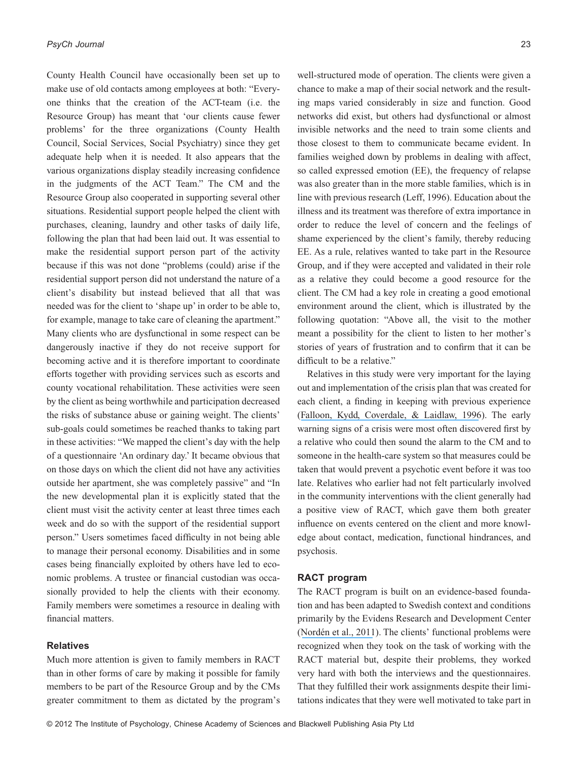County Health Council have occasionally been set up to make use of old contacts among employees at both: "Everyone thinks that the creation of the ACT-team (i.e. the Resource Group) has meant that 'our clients cause fewer problems' for the three organizations (County Health Council, Social Services, Social Psychiatry) since they get adequate help when it is needed. It also appears that the various organizations display steadily increasing confidence in the judgments of the ACT Team." The CM and the Resource Group also cooperated in supporting several other situations. Residential support people helped the client with purchases, cleaning, laundry and other tasks of daily life, following the plan that had been laid out. It was essential to make the residential support person part of the activity because if this was not done "problems (could) arise if the residential support person did not understand the nature of a client's disability but instead believed that all that was needed was for the client to 'shape up' in order to be able to, for example, manage to take care of cleaning the apartment." Many clients who are dysfunctional in some respect can be dangerously inactive if they do not receive support for becoming active and it is therefore important to coordinate efforts together with providing services such as escorts and county vocational rehabilitation. These activities were seen by the client as being worthwhile and participation decreased the risks of substance abuse or gaining weight. The clients' sub-goals could sometimes be reached thanks to taking part in these activities: "We mapped the client's day with the help of a questionnaire 'An ordinary day.' It became obvious that on those days on which the client did not have any activities outside her apartment, she was completely passive" and "In the new developmental plan it is explicitly stated that the client must visit the activity center at least three times each week and do so with the support of the residential support person." Users sometimes faced difficulty in not being able to manage their personal economy. Disabilities and in some cases being financially exploited by others have led to economic problems. A trustee or financial custodian was occasionally provided to help the clients with their economy. Family members were sometimes a resource in dealing with financial matters.

# **Relatives**

Much more attention is given to family members in RACT than in other forms of care by making it possible for family members to be part of the Resource Group and by the CMs greater commitment to them as dictated by the program's well-structured mode of operation. The clients were given a chance to make a map of their social network and the resulting maps varied considerably in size and function. Good networks did exist, but others had dysfunctional or almost invisible networks and the need to train some clients and those closest to them to communicate became evident. In families weighed down by problems in dealing with affect, so called expressed emotion (EE), the frequency of relapse was also greater than in the more stable families, which is in line with previous research (Leff, 1996). Education about the illness and its treatment was therefore of extra importance in order to reduce the level of concern and the feelings of shame experienced by the client's family, thereby reducing EE. As a rule, relatives wanted to take part in the Resource Group, and if they were accepted and validated in their role as a relative they could become a good resource for the client. The CM had a key role in creating a good emotional environment around the client, which is illustrated by the following quotation: "Above all, the visit to the mother meant a possibility for the client to listen to her mother's stories of years of frustration and to confirm that it can be difficult to be a relative."

Relatives in this study were very important for the laying out and implementation of the crisis plan that was created for each client, a finding in keeping with previous experience ([Falloon, Kydd, Coverdale, & Laidlaw, 1996](https://www.researchgate.net/publication/14421137_Early_Detection_and_Intervention_for_Initial_Episodes_of_Schizophrenia?el=1_x_8&enrichId=rgreq-39aa488b7090d755fdf82efde278971b-XXX&enrichSource=Y292ZXJQYWdlOzI1OTExMjAxNTtBUzo5NzU5Nzc0NjMxOTM3N0AxNDAwMjgwNTI0NDkx)). The early warning signs of a crisis were most often discovered first by a relative who could then sound the alarm to the CM and to someone in the health-care system so that measures could be taken that would prevent a psychotic event before it was too late. Relatives who earlier had not felt particularly involved in the community interventions with the client generally had a positive view of RACT, which gave them both greater influence on events centered on the client and more knowledge about contact, medication, functional hindrances, and psychosis.

# **RACT program**

The RACT program is built on an evidence-based foundation and has been adapted to Swedish context and conditions primarily by the Evidens Research and Development Center ([Nordén et al., 2011](https://www.researchgate.net/publication/233560474_Gender_and_Treatment_Comparisons_in_a_Cohort_Of_Patients_with_Psychiatric_Diagnoses?el=1_x_8&enrichId=rgreq-39aa488b7090d755fdf82efde278971b-XXX&enrichSource=Y292ZXJQYWdlOzI1OTExMjAxNTtBUzo5NzU5Nzc0NjMxOTM3N0AxNDAwMjgwNTI0NDkx)). The clients' functional problems were recognized when they took on the task of working with the RACT material but, despite their problems, they worked very hard with both the interviews and the questionnaires. That they fulfilled their work assignments despite their limitations indicates that they were well motivated to take part in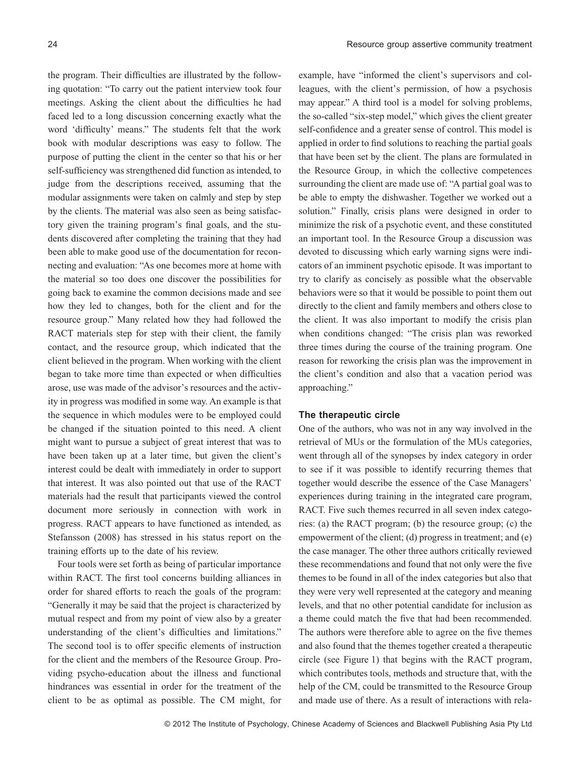the program. Their difficulties are illustrated by the following quotation: "To carry out the patient interview took four meetings. Asking the client about the difficulties he had faced led to a long discussion concerning exactly what the word 'difficulty' means." The students felt that the work book with modular descriptions was easy to follow. The purpose of putting the client in the center so that his or her self-sufficiency was strengthened did function as intended, to judge from the descriptions received, assuming that the modular assignments were taken on calmly and step by step by the clients. The material was also seen as being satisfactory given the training program's final goals, and the students discovered after completing the training that they had been able to make good use of the documentation for reconnecting and evaluation: "As one becomes more at home with the material so too does one discover the possibilities for going back to examine the common decisions made and see how they led to changes, both for the client and for the resource group." Many related how they had followed the RACT materials step for step with their client, the family contact, and the resource group, which indicated that the client believed in the program. When working with the client began to take more time than expected or when difficulties arose, use was made of the advisor's resources and the activity in progress was modified in some way. An example is that the sequence in which modules were to be employed could be changed if the situation pointed to this need. A client might want to pursue a subject of great interest that was to have been taken up at a later time, but given the client's interest could be dealt with immediately in order to support that interest. It was also pointed out that use of the RACT materials had the result that participants viewed the control document more seriously in connection with work in progress. RACT appears to have functioned as intended, as Stefansson (2008) has stressed in his status report on the training efforts up to the date of his review.

Four tools were set forth as being of particular importance within RACT. The first tool concerns building alliances in order for shared efforts to reach the goals of the program: "Generally it may be said that the project is characterized by mutual respect and from my point of view also by a greater understanding of the client's difficulties and limitations." The second tool is to offer specific elements of instruction for the client and the members of the Resource Group. Providing psycho-education about the illness and functional hindrances was essential in order for the treatment of the client to be as optimal as possible. The CM might, for example, have "informed the client's supervisors and colleagues, with the client's permission, of how a psychosis may appear." A third tool is a model for solving problems, the so-called "six-step model," which gives the client greater self-confidence and a greater sense of control. This model is applied in order to find solutions to reaching the partial goals that have been set by the client. The plans are formulated in the Resource Group, in which the collective competences surrounding the client are made use of: "A partial goal was to be able to empty the dishwasher. Together we worked out a solution." Finally, crisis plans were designed in order to minimize the risk of a psychotic event, and these constituted an important tool. In the Resource Group a discussion was devoted to discussing which early warning signs were indicators of an imminent psychotic episode. It was important to try to clarify as concisely as possible what the observable behaviors were so that it would be possible to point them out directly to the client and family members and others close to the client. It was also important to modify the crisis plan when conditions changed: "The crisis plan was reworked three times during the course of the training program. One reason for reworking the crisis plan was the improvement in the client's condition and also that a vacation period was approaching."

#### **The therapeutic circle**

One of the authors, who was not in any way involved in the retrieval of MUs or the formulation of the MUs categories, went through all of the synopses by index category in order to see if it was possible to identify recurring themes that together would describe the essence of the Case Managers' experiences during training in the integrated care program, RACT. Five such themes recurred in all seven index categories: (a) the RACT program; (b) the resource group; (c) the empowerment of the client; (d) progress in treatment; and (e) the case manager. The other three authors critically reviewed these recommendations and found that not only were the five themes to be found in all of the index categories but also that they were very well represented at the category and meaning levels, and that no other potential candidate for inclusion as a theme could match the five that had been recommended. The authors were therefore able to agree on the five themes and also found that the themes together created a therapeutic circle (see Figure 1) that begins with the RACT program, which contributes tools, methods and structure that, with the help of the CM, could be transmitted to the Resource Group and made use of there. As a result of interactions with rela-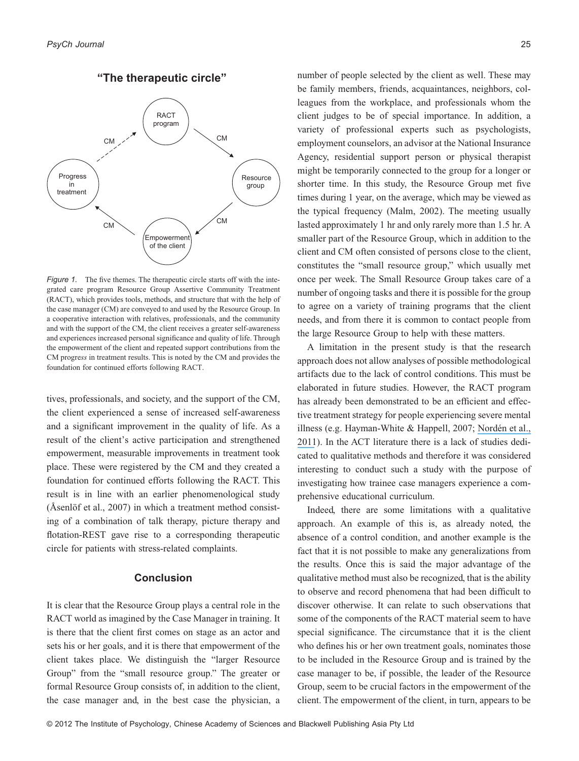

*Figure 1.* The five themes. The therapeutic circle starts off with the integrated care program Resource Group Assertive Community Treatment (RACT), which provides tools, methods, and structure that with the help of the case manager (CM) are conveyed to and used by the Resource Group. In a cooperative interaction with relatives, professionals, and the community and with the support of the CM, the client receives a greater self-awareness and experiences increased personal significance and quality of life. Through the empowerment of the client and repeated support contributions from the CM progre*ss* in treatment results. This is noted by the CM and provides the foundation for continued efforts following RACT.

tives, professionals, and society, and the support of the CM, the client experienced a sense of increased self-awareness and a significant improvement in the quality of life. As a result of the client's active participation and strengthened empowerment, measurable improvements in treatment took place. These were registered by the CM and they created a foundation for continued efforts following the RACT. This result is in line with an earlier phenomenological study (Åsenlöf et al., 2007) in which a treatment method consisting of a combination of talk therapy, picture therapy and flotation-REST gave rise to a corresponding therapeutic circle for patients with stress-related complaints.

#### **Conclusion**

It is clear that the Resource Group plays a central role in the RACT world as imagined by the Case Manager in training. It is there that the client first comes on stage as an actor and sets his or her goals, and it is there that empowerment of the client takes place. We distinguish the "larger Resource Group" from the "small resource group." The greater or formal Resource Group consists of, in addition to the client, the case manager and, in the best case the physician, a

number of people selected by the client as well. These may be family members, friends, acquaintances, neighbors, colleagues from the workplace, and professionals whom the client judges to be of special importance. In addition, a variety of professional experts such as psychologists, employment counselors, an advisor at the National Insurance Agency, residential support person or physical therapist might be temporarily connected to the group for a longer or shorter time. In this study, the Resource Group met five times during 1 year, on the average, which may be viewed as the typical frequency (Malm, 2002). The meeting usually lasted approximately 1 hr and only rarely more than 1.5 hr. A smaller part of the Resource Group, which in addition to the client and CM often consisted of persons close to the client, constitutes the "small resource group," which usually met once per week. The Small Resource Group takes care of a number of ongoing tasks and there it is possible for the group to agree on a variety of training programs that the client needs, and from there it is common to contact people from the large Resource Group to help with these matters.

A limitation in the present study is that the research approach does not allow analyses of possible methodological artifacts due to the lack of control conditions. This must be elaborated in future studies. However, the RACT program has already been demonstrated to be an efficient and effective treatment strategy for people experiencing severe mental illness (e.g. Hayman-White & Happell, 2007; [Nordén et al.,](https://www.researchgate.net/publication/233560474_Gender_and_Treatment_Comparisons_in_a_Cohort_Of_Patients_with_Psychiatric_Diagnoses?el=1_x_8&enrichId=rgreq-39aa488b7090d755fdf82efde278971b-XXX&enrichSource=Y292ZXJQYWdlOzI1OTExMjAxNTtBUzo5NzU5Nzc0NjMxOTM3N0AxNDAwMjgwNTI0NDkx) [2011](https://www.researchgate.net/publication/233560474_Gender_and_Treatment_Comparisons_in_a_Cohort_Of_Patients_with_Psychiatric_Diagnoses?el=1_x_8&enrichId=rgreq-39aa488b7090d755fdf82efde278971b-XXX&enrichSource=Y292ZXJQYWdlOzI1OTExMjAxNTtBUzo5NzU5Nzc0NjMxOTM3N0AxNDAwMjgwNTI0NDkx)). In the ACT literature there is a lack of studies dedicated to qualitative methods and therefore it was considered interesting to conduct such a study with the purpose of investigating how trainee case managers experience a comprehensive educational curriculum.

Indeed, there are some limitations with a qualitative approach. An example of this is, as already noted, the absence of a control condition, and another example is the fact that it is not possible to make any generalizations from the results. Once this is said the major advantage of the qualitative method must also be recognized, that is the ability to observe and record phenomena that had been difficult to discover otherwise. It can relate to such observations that some of the components of the RACT material seem to have special significance. The circumstance that it is the client who defines his or her own treatment goals, nominates those to be included in the Resource Group and is trained by the case manager to be, if possible, the leader of the Resource Group, seem to be crucial factors in the empowerment of the client. The empowerment of the client, in turn, appears to be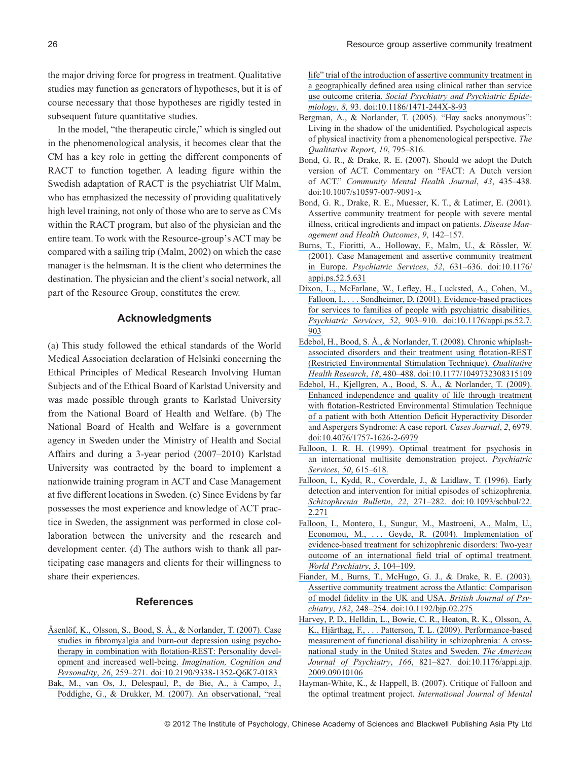the major driving force for progress in treatment. Qualitative studies may function as generators of hypotheses, but it is of course necessary that those hypotheses are rigidly tested in subsequent future quantitative studies.

In the model, "the therapeutic circle," which is singled out in the phenomenological analysis, it becomes clear that the CM has a key role in getting the different components of RACT to function together. A leading figure within the Swedish adaptation of RACT is the psychiatrist Ulf Malm, who has emphasized the necessity of providing qualitatively high level training, not only of those who are to serve as CMs within the RACT program, but also of the physician and the entire team. To work with the Resource-group's ACT may be compared with a sailing trip (Malm, 2002) on which the case manager is the helmsman. It is the client who determines the destination. The physician and the client's social network, all part of the Resource Group, constitutes the crew.

# **Acknowledgments**

(a) This study followed the ethical standards of the World Medical Association declaration of Helsinki concerning the Ethical Principles of Medical Research Involving Human Subjects and of the Ethical Board of Karlstad University and was made possible through grants to Karlstad University from the National Board of Health and Welfare. (b) The National Board of Health and Welfare is a government agency in Sweden under the Ministry of Health and Social Affairs and during a 3-year period (2007–2010) Karlstad University was contracted by the board to implement a nationwide training program in ACT and Case Management at five different locations in Sweden. (c) Since Evidens by far possesses the most experience and knowledge of ACT practice in Sweden, the assignment was performed in close collaboration between the university and the research and development center. (d) The authors wish to thank all participating case managers and clients for their willingness to share their experiences.

# **References**

- [Åsenlöf, K., Olsson, S., Bood, S. Å., & Norlander, T. \(2007\). Case](https://www.researchgate.net/publication/240302679_Case_Studies_on_Fibromyalgia_and_Burn-Out_Depression_Using_Psychotherapy_in_Combination_with_Flotation-Rest_Personality_Development_and_Increased_Well-Being?el=1_x_8&enrichId=rgreq-39aa488b7090d755fdf82efde278971b-XXX&enrichSource=Y292ZXJQYWdlOzI1OTExMjAxNTtBUzo5NzU5Nzc0NjMxOTM3N0AxNDAwMjgwNTI0NDkx) [studies in fibromyalgia and burn-out depression using psycho](https://www.researchgate.net/publication/240302679_Case_Studies_on_Fibromyalgia_and_Burn-Out_Depression_Using_Psychotherapy_in_Combination_with_Flotation-Rest_Personality_Development_and_Increased_Well-Being?el=1_x_8&enrichId=rgreq-39aa488b7090d755fdf82efde278971b-XXX&enrichSource=Y292ZXJQYWdlOzI1OTExMjAxNTtBUzo5NzU5Nzc0NjMxOTM3N0AxNDAwMjgwNTI0NDkx)[therapy in combination with flotation-REST: Personality devel](https://www.researchgate.net/publication/240302679_Case_Studies_on_Fibromyalgia_and_Burn-Out_Depression_Using_Psychotherapy_in_Combination_with_Flotation-Rest_Personality_Development_and_Increased_Well-Being?el=1_x_8&enrichId=rgreq-39aa488b7090d755fdf82efde278971b-XXX&enrichSource=Y292ZXJQYWdlOzI1OTExMjAxNTtBUzo5NzU5Nzc0NjMxOTM3N0AxNDAwMjgwNTI0NDkx)[opment and increased well-being.](https://www.researchgate.net/publication/240302679_Case_Studies_on_Fibromyalgia_and_Burn-Out_Depression_Using_Psychotherapy_in_Combination_with_Flotation-Rest_Personality_Development_and_Increased_Well-Being?el=1_x_8&enrichId=rgreq-39aa488b7090d755fdf82efde278971b-XXX&enrichSource=Y292ZXJQYWdlOzI1OTExMjAxNTtBUzo5NzU5Nzc0NjMxOTM3N0AxNDAwMjgwNTI0NDkx) *Imagination, Cognition and Personality*, *26*[, 259–271. doi:10.2190/9338-1352-Q6K7-0183](https://www.researchgate.net/publication/240302679_Case_Studies_on_Fibromyalgia_and_Burn-Out_Depression_Using_Psychotherapy_in_Combination_with_Flotation-Rest_Personality_Development_and_Increased_Well-Being?el=1_x_8&enrichId=rgreq-39aa488b7090d755fdf82efde278971b-XXX&enrichSource=Y292ZXJQYWdlOzI1OTExMjAxNTtBUzo5NzU5Nzc0NjMxOTM3N0AxNDAwMjgwNTI0NDkx)
- [Bak, M., van Os, J., Delespaul, P., de Bie, A., à Campo, J.,](https://www.researchgate.net/publication/6568230_An_observational_real_life_trial_of_the_introduction_of_assertive_community_treatment_in_a_geographically_defined_area_using_clinical_rather_than_service_use_outcome_criteria?el=1_x_8&enrichId=rgreq-39aa488b7090d755fdf82efde278971b-XXX&enrichSource=Y292ZXJQYWdlOzI1OTExMjAxNTtBUzo5NzU5Nzc0NjMxOTM3N0AxNDAwMjgwNTI0NDkx) [Poddighe, G., & Drukker, M. \(2007\). An observational, "real](https://www.researchgate.net/publication/6568230_An_observational_real_life_trial_of_the_introduction_of_assertive_community_treatment_in_a_geographically_defined_area_using_clinical_rather_than_service_use_outcome_criteria?el=1_x_8&enrichId=rgreq-39aa488b7090d755fdf82efde278971b-XXX&enrichSource=Y292ZXJQYWdlOzI1OTExMjAxNTtBUzo5NzU5Nzc0NjMxOTM3N0AxNDAwMjgwNTI0NDkx)

[life" trial of the introduction of assertive community treatment in](https://www.researchgate.net/publication/6568230_An_observational_real_life_trial_of_the_introduction_of_assertive_community_treatment_in_a_geographically_defined_area_using_clinical_rather_than_service_use_outcome_criteria?el=1_x_8&enrichId=rgreq-39aa488b7090d755fdf82efde278971b-XXX&enrichSource=Y292ZXJQYWdlOzI1OTExMjAxNTtBUzo5NzU5Nzc0NjMxOTM3N0AxNDAwMjgwNTI0NDkx) [a geographically defined area using clinical rather than service](https://www.researchgate.net/publication/6568230_An_observational_real_life_trial_of_the_introduction_of_assertive_community_treatment_in_a_geographically_defined_area_using_clinical_rather_than_service_use_outcome_criteria?el=1_x_8&enrichId=rgreq-39aa488b7090d755fdf82efde278971b-XXX&enrichSource=Y292ZXJQYWdlOzI1OTExMjAxNTtBUzo5NzU5Nzc0NjMxOTM3N0AxNDAwMjgwNTI0NDkx) use outcome criteria. *[Social Psychiatry and Psychiatric Epide](https://www.researchgate.net/publication/6568230_An_observational_real_life_trial_of_the_introduction_of_assertive_community_treatment_in_a_geographically_defined_area_using_clinical_rather_than_service_use_outcome_criteria?el=1_x_8&enrichId=rgreq-39aa488b7090d755fdf82efde278971b-XXX&enrichSource=Y292ZXJQYWdlOzI1OTExMjAxNTtBUzo5NzU5Nzc0NjMxOTM3N0AxNDAwMjgwNTI0NDkx)miology*, *8*[, 93. doi:10.1186/1471-244X-8-93](https://www.researchgate.net/publication/6568230_An_observational_real_life_trial_of_the_introduction_of_assertive_community_treatment_in_a_geographically_defined_area_using_clinical_rather_than_service_use_outcome_criteria?el=1_x_8&enrichId=rgreq-39aa488b7090d755fdf82efde278971b-XXX&enrichSource=Y292ZXJQYWdlOzI1OTExMjAxNTtBUzo5NzU5Nzc0NjMxOTM3N0AxNDAwMjgwNTI0NDkx)

- Bergman, A., & Norlander, T. (2005). "Hay sacks anonymous": Living in the shadow of the unidentified. Psychological aspects of physical inactivity from a phenomenological perspective. *The Qualitative Report*, *10*, 795–816.
- Bond, G. R., & Drake, R. E. (2007). Should we adopt the Dutch version of ACT. Commentary on "FACT: A Dutch version of ACT." *Community Mental Health Journal*, *43*, 435–438. doi:10.1007/s10597-007-9091-x
- Bond, G. R., Drake, R. E., Muesser, K. T., & Latimer, E. (2001). Assertive community treatment for people with severe mental illness, critical ingredients and impact on patients. *Disease Management and Health Outcomes*, *9*, 142–157.
- [Burns, T., Fioritti, A., Holloway, F., Malm, U., & Rössler, W.](https://www.researchgate.net/publication/12004230_Case_Management_and_Assertive_Community_Treatment_in_Europe?el=1_x_8&enrichId=rgreq-39aa488b7090d755fdf82efde278971b-XXX&enrichSource=Y292ZXJQYWdlOzI1OTExMjAxNTtBUzo5NzU5Nzc0NjMxOTM3N0AxNDAwMjgwNTI0NDkx) [\(2001\). Case Management and assertive community treatment](https://www.researchgate.net/publication/12004230_Case_Management_and_Assertive_Community_Treatment_in_Europe?el=1_x_8&enrichId=rgreq-39aa488b7090d755fdf82efde278971b-XXX&enrichSource=Y292ZXJQYWdlOzI1OTExMjAxNTtBUzo5NzU5Nzc0NjMxOTM3N0AxNDAwMjgwNTI0NDkx) in Europe. *Psychiatric Services*, *52*[, 631–636. doi:10.1176/](https://www.researchgate.net/publication/12004230_Case_Management_and_Assertive_Community_Treatment_in_Europe?el=1_x_8&enrichId=rgreq-39aa488b7090d755fdf82efde278971b-XXX&enrichSource=Y292ZXJQYWdlOzI1OTExMjAxNTtBUzo5NzU5Nzc0NjMxOTM3N0AxNDAwMjgwNTI0NDkx) [appi.ps.52.5.631](https://www.researchgate.net/publication/12004230_Case_Management_and_Assertive_Community_Treatment_in_Europe?el=1_x_8&enrichId=rgreq-39aa488b7090d755fdf82efde278971b-XXX&enrichSource=Y292ZXJQYWdlOzI1OTExMjAxNTtBUzo5NzU5Nzc0NjMxOTM3N0AxNDAwMjgwNTI0NDkx)
- [Dixon, L., McFarlane, W., Lefley, H., Lucksted, A., Cohen, M.,](https://www.researchgate.net/publication/11908038_Evidence-Based_Practices_for_Services_to_Families_of_People_With_Psychiatric_Disabilities?el=1_x_8&enrichId=rgreq-39aa488b7090d755fdf82efde278971b-XXX&enrichSource=Y292ZXJQYWdlOzI1OTExMjAxNTtBUzo5NzU5Nzc0NjMxOTM3N0AxNDAwMjgwNTI0NDkx) [Falloon, I., . . . Sondheimer, D. \(2001\). Evidence-based practices](https://www.researchgate.net/publication/11908038_Evidence-Based_Practices_for_Services_to_Families_of_People_With_Psychiatric_Disabilities?el=1_x_8&enrichId=rgreq-39aa488b7090d755fdf82efde278971b-XXX&enrichSource=Y292ZXJQYWdlOzI1OTExMjAxNTtBUzo5NzU5Nzc0NjMxOTM3N0AxNDAwMjgwNTI0NDkx) [for services to families of people with psychiatric disabilities.](https://www.researchgate.net/publication/11908038_Evidence-Based_Practices_for_Services_to_Families_of_People_With_Psychiatric_Disabilities?el=1_x_8&enrichId=rgreq-39aa488b7090d755fdf82efde278971b-XXX&enrichSource=Y292ZXJQYWdlOzI1OTExMjAxNTtBUzo5NzU5Nzc0NjMxOTM3N0AxNDAwMjgwNTI0NDkx) *Psychiatric Services*, *52*[, 903–910. doi:10.1176/appi.ps.52.7.](https://www.researchgate.net/publication/11908038_Evidence-Based_Practices_for_Services_to_Families_of_People_With_Psychiatric_Disabilities?el=1_x_8&enrichId=rgreq-39aa488b7090d755fdf82efde278971b-XXX&enrichSource=Y292ZXJQYWdlOzI1OTExMjAxNTtBUzo5NzU5Nzc0NjMxOTM3N0AxNDAwMjgwNTI0NDkx) [903](https://www.researchgate.net/publication/11908038_Evidence-Based_Practices_for_Services_to_Families_of_People_With_Psychiatric_Disabilities?el=1_x_8&enrichId=rgreq-39aa488b7090d755fdf82efde278971b-XXX&enrichSource=Y292ZXJQYWdlOzI1OTExMjAxNTtBUzo5NzU5Nzc0NjMxOTM3N0AxNDAwMjgwNTI0NDkx)
- [Edebol, H., Bood, S. Å., & Norlander, T. \(2008\). Chronic whiplash](https://www.researchgate.net/publication/5498508_Chronic_Whiplash-Associated_Disorders_and_Their_Treatment_Using_Flotation-REST_Restricted_Environmental_Stimulation_Technique?el=1_x_8&enrichId=rgreq-39aa488b7090d755fdf82efde278971b-XXX&enrichSource=Y292ZXJQYWdlOzI1OTExMjAxNTtBUzo5NzU5Nzc0NjMxOTM3N0AxNDAwMjgwNTI0NDkx)[associated disorders and their treatment using flotation-REST](https://www.researchgate.net/publication/5498508_Chronic_Whiplash-Associated_Disorders_and_Their_Treatment_Using_Flotation-REST_Restricted_Environmental_Stimulation_Technique?el=1_x_8&enrichId=rgreq-39aa488b7090d755fdf82efde278971b-XXX&enrichSource=Y292ZXJQYWdlOzI1OTExMjAxNTtBUzo5NzU5Nzc0NjMxOTM3N0AxNDAwMjgwNTI0NDkx) [\(Restricted Environmental Stimulation Technique\).](https://www.researchgate.net/publication/5498508_Chronic_Whiplash-Associated_Disorders_and_Their_Treatment_Using_Flotation-REST_Restricted_Environmental_Stimulation_Technique?el=1_x_8&enrichId=rgreq-39aa488b7090d755fdf82efde278971b-XXX&enrichSource=Y292ZXJQYWdlOzI1OTExMjAxNTtBUzo5NzU5Nzc0NjMxOTM3N0AxNDAwMjgwNTI0NDkx) *Qualitative Health Research*, *18*[, 480–488. doi:10.1177/1049732308315109](https://www.researchgate.net/publication/5498508_Chronic_Whiplash-Associated_Disorders_and_Their_Treatment_Using_Flotation-REST_Restricted_Environmental_Stimulation_Technique?el=1_x_8&enrichId=rgreq-39aa488b7090d755fdf82efde278971b-XXX&enrichSource=Y292ZXJQYWdlOzI1OTExMjAxNTtBUzo5NzU5Nzc0NjMxOTM3N0AxNDAwMjgwNTI0NDkx)
- [Edebol, H., Kjellgren, A., Bood, S. Å., & Norlander, T. \(2009\).](https://www.researchgate.net/publication/38012295_Enhanced_independence_and_quality_of_life_through_treatment_with_flotation-Restricted_Environmental_Stimulation_Technique_of_a_patient_with_both_Attention_Deficit_Hyperactivity_Disorder_and_Aspergers_?el=1_x_8&enrichId=rgreq-39aa488b7090d755fdf82efde278971b-XXX&enrichSource=Y292ZXJQYWdlOzI1OTExMjAxNTtBUzo5NzU5Nzc0NjMxOTM3N0AxNDAwMjgwNTI0NDkx) [Enhanced independence and quality of life through treatment](https://www.researchgate.net/publication/38012295_Enhanced_independence_and_quality_of_life_through_treatment_with_flotation-Restricted_Environmental_Stimulation_Technique_of_a_patient_with_both_Attention_Deficit_Hyperactivity_Disorder_and_Aspergers_?el=1_x_8&enrichId=rgreq-39aa488b7090d755fdf82efde278971b-XXX&enrichSource=Y292ZXJQYWdlOzI1OTExMjAxNTtBUzo5NzU5Nzc0NjMxOTM3N0AxNDAwMjgwNTI0NDkx) [with flotation-Restricted Environmental Stimulation Technique](https://www.researchgate.net/publication/38012295_Enhanced_independence_and_quality_of_life_through_treatment_with_flotation-Restricted_Environmental_Stimulation_Technique_of_a_patient_with_both_Attention_Deficit_Hyperactivity_Disorder_and_Aspergers_?el=1_x_8&enrichId=rgreq-39aa488b7090d755fdf82efde278971b-XXX&enrichSource=Y292ZXJQYWdlOzI1OTExMjAxNTtBUzo5NzU5Nzc0NjMxOTM3N0AxNDAwMjgwNTI0NDkx) [of a patient with both Attention Deficit Hyperactivity Disorder](https://www.researchgate.net/publication/38012295_Enhanced_independence_and_quality_of_life_through_treatment_with_flotation-Restricted_Environmental_Stimulation_Technique_of_a_patient_with_both_Attention_Deficit_Hyperactivity_Disorder_and_Aspergers_?el=1_x_8&enrichId=rgreq-39aa488b7090d755fdf82efde278971b-XXX&enrichSource=Y292ZXJQYWdlOzI1OTExMjAxNTtBUzo5NzU5Nzc0NjMxOTM3N0AxNDAwMjgwNTI0NDkx) [and Aspergers Syndrome: A case report.](https://www.researchgate.net/publication/38012295_Enhanced_independence_and_quality_of_life_through_treatment_with_flotation-Restricted_Environmental_Stimulation_Technique_of_a_patient_with_both_Attention_Deficit_Hyperactivity_Disorder_and_Aspergers_?el=1_x_8&enrichId=rgreq-39aa488b7090d755fdf82efde278971b-XXX&enrichSource=Y292ZXJQYWdlOzI1OTExMjAxNTtBUzo5NzU5Nzc0NjMxOTM3N0AxNDAwMjgwNTI0NDkx) *Cases Journal*, *2*, 6979. [doi:10.4076/1757-1626-2-6979](https://www.researchgate.net/publication/38012295_Enhanced_independence_and_quality_of_life_through_treatment_with_flotation-Restricted_Environmental_Stimulation_Technique_of_a_patient_with_both_Attention_Deficit_Hyperactivity_Disorder_and_Aspergers_?el=1_x_8&enrichId=rgreq-39aa488b7090d755fdf82efde278971b-XXX&enrichSource=Y292ZXJQYWdlOzI1OTExMjAxNTtBUzo5NzU5Nzc0NjMxOTM3N0AxNDAwMjgwNTI0NDkx)
- [Falloon, I. R. H. \(1999\). Optimal treatment for psychosis in](https://www.researchgate.net/publication/12965625_Optimal_treatment_for_psychosis_in_an_International_Multisite_Demonstration_Project?el=1_x_8&enrichId=rgreq-39aa488b7090d755fdf82efde278971b-XXX&enrichSource=Y292ZXJQYWdlOzI1OTExMjAxNTtBUzo5NzU5Nzc0NjMxOTM3N0AxNDAwMjgwNTI0NDkx) [an international multisite demonstration project.](https://www.researchgate.net/publication/12965625_Optimal_treatment_for_psychosis_in_an_International_Multisite_Demonstration_Project?el=1_x_8&enrichId=rgreq-39aa488b7090d755fdf82efde278971b-XXX&enrichSource=Y292ZXJQYWdlOzI1OTExMjAxNTtBUzo5NzU5Nzc0NjMxOTM3N0AxNDAwMjgwNTI0NDkx) *Psychiatric Services*, *50*[, 615–618.](https://www.researchgate.net/publication/12965625_Optimal_treatment_for_psychosis_in_an_International_Multisite_Demonstration_Project?el=1_x_8&enrichId=rgreq-39aa488b7090d755fdf82efde278971b-XXX&enrichSource=Y292ZXJQYWdlOzI1OTExMjAxNTtBUzo5NzU5Nzc0NjMxOTM3N0AxNDAwMjgwNTI0NDkx)
- [Falloon, I., Kydd, R., Coverdale, J., & Laidlaw, T. \(1996\). Early](https://www.researchgate.net/publication/14421137_Early_Detection_and_Intervention_for_Initial_Episodes_of_Schizophrenia?el=1_x_8&enrichId=rgreq-39aa488b7090d755fdf82efde278971b-XXX&enrichSource=Y292ZXJQYWdlOzI1OTExMjAxNTtBUzo5NzU5Nzc0NjMxOTM3N0AxNDAwMjgwNTI0NDkx) [detection and intervention for initial episodes of schizophrenia.](https://www.researchgate.net/publication/14421137_Early_Detection_and_Intervention_for_Initial_Episodes_of_Schizophrenia?el=1_x_8&enrichId=rgreq-39aa488b7090d755fdf82efde278971b-XXX&enrichSource=Y292ZXJQYWdlOzI1OTExMjAxNTtBUzo5NzU5Nzc0NjMxOTM3N0AxNDAwMjgwNTI0NDkx) *Schizophrenia Bulletin*, *22*[, 271–282. doi:10.1093/schbul/22.](https://www.researchgate.net/publication/14421137_Early_Detection_and_Intervention_for_Initial_Episodes_of_Schizophrenia?el=1_x_8&enrichId=rgreq-39aa488b7090d755fdf82efde278971b-XXX&enrichSource=Y292ZXJQYWdlOzI1OTExMjAxNTtBUzo5NzU5Nzc0NjMxOTM3N0AxNDAwMjgwNTI0NDkx) [2.271](https://www.researchgate.net/publication/14421137_Early_Detection_and_Intervention_for_Initial_Episodes_of_Schizophrenia?el=1_x_8&enrichId=rgreq-39aa488b7090d755fdf82efde278971b-XXX&enrichSource=Y292ZXJQYWdlOzI1OTExMjAxNTtBUzo5NzU5Nzc0NjMxOTM3N0AxNDAwMjgwNTI0NDkx)
- [Falloon, I., Montero, I., Sungur, M., Mastroeni, A., Malm, U.,](https://www.researchgate.net/publication/288945595_Implementation_of_evidence-based_treatment_for_schizophrenic_disorders_Two-year_outcome_of_an_international_field_trial_of_optimal_treatment?el=1_x_8&enrichId=rgreq-39aa488b7090d755fdf82efde278971b-XXX&enrichSource=Y292ZXJQYWdlOzI1OTExMjAxNTtBUzo5NzU5Nzc0NjMxOTM3N0AxNDAwMjgwNTI0NDkx) Economou, M., ... Geyde, R. (2004). Implementation of [evidence-based treatment for schizophrenic disorders: Two-year](https://www.researchgate.net/publication/288945595_Implementation_of_evidence-based_treatment_for_schizophrenic_disorders_Two-year_outcome_of_an_international_field_trial_of_optimal_treatment?el=1_x_8&enrichId=rgreq-39aa488b7090d755fdf82efde278971b-XXX&enrichSource=Y292ZXJQYWdlOzI1OTExMjAxNTtBUzo5NzU5Nzc0NjMxOTM3N0AxNDAwMjgwNTI0NDkx) [outcome of an international field trial of optimal treatment.](https://www.researchgate.net/publication/288945595_Implementation_of_evidence-based_treatment_for_schizophrenic_disorders_Two-year_outcome_of_an_international_field_trial_of_optimal_treatment?el=1_x_8&enrichId=rgreq-39aa488b7090d755fdf82efde278971b-XXX&enrichSource=Y292ZXJQYWdlOzI1OTExMjAxNTtBUzo5NzU5Nzc0NjMxOTM3N0AxNDAwMjgwNTI0NDkx) *[World Psychiatry](https://www.researchgate.net/publication/288945595_Implementation_of_evidence-based_treatment_for_schizophrenic_disorders_Two-year_outcome_of_an_international_field_trial_of_optimal_treatment?el=1_x_8&enrichId=rgreq-39aa488b7090d755fdf82efde278971b-XXX&enrichSource=Y292ZXJQYWdlOzI1OTExMjAxNTtBUzo5NzU5Nzc0NjMxOTM3N0AxNDAwMjgwNTI0NDkx)*, *3*, 104–109.
- [Fiander, M., Burns, T., McHugo, G. J., & Drake, R. E. \(2003\).](https://www.researchgate.net/publication/10878075_Assertive_community_treatment_across_the_Atlantic_Comparison_of_model_fidelity_in_the_UK_and_USA?el=1_x_8&enrichId=rgreq-39aa488b7090d755fdf82efde278971b-XXX&enrichSource=Y292ZXJQYWdlOzI1OTExMjAxNTtBUzo5NzU5Nzc0NjMxOTM3N0AxNDAwMjgwNTI0NDkx) [Assertive community treatment across the Atlantic: Comparison](https://www.researchgate.net/publication/10878075_Assertive_community_treatment_across_the_Atlantic_Comparison_of_model_fidelity_in_the_UK_and_USA?el=1_x_8&enrichId=rgreq-39aa488b7090d755fdf82efde278971b-XXX&enrichSource=Y292ZXJQYWdlOzI1OTExMjAxNTtBUzo5NzU5Nzc0NjMxOTM3N0AxNDAwMjgwNTI0NDkx) [of model fidelity in the UK and USA.](https://www.researchgate.net/publication/10878075_Assertive_community_treatment_across_the_Atlantic_Comparison_of_model_fidelity_in_the_UK_and_USA?el=1_x_8&enrichId=rgreq-39aa488b7090d755fdf82efde278971b-XXX&enrichSource=Y292ZXJQYWdlOzI1OTExMjAxNTtBUzo5NzU5Nzc0NjMxOTM3N0AxNDAwMjgwNTI0NDkx) *British Journal of Psychiatry*, *182*[, 248–254. doi:10.1192/bjp.02.275](https://www.researchgate.net/publication/10878075_Assertive_community_treatment_across_the_Atlantic_Comparison_of_model_fidelity_in_the_UK_and_USA?el=1_x_8&enrichId=rgreq-39aa488b7090d755fdf82efde278971b-XXX&enrichSource=Y292ZXJQYWdlOzI1OTExMjAxNTtBUzo5NzU5Nzc0NjMxOTM3N0AxNDAwMjgwNTI0NDkx)
- [Harvey, P. D., Helldin, L., Bowie, C. R., Heaton, R. K., Olsson, A.](https://www.researchgate.net/publication/26258169_Performance-Based_Measurement_of_Functional_Disability_in_Schizophrenia_A_Cross-National_Study_in_the_United_States_and_Sweden?el=1_x_8&enrichId=rgreq-39aa488b7090d755fdf82efde278971b-XXX&enrichSource=Y292ZXJQYWdlOzI1OTExMjAxNTtBUzo5NzU5Nzc0NjMxOTM3N0AxNDAwMjgwNTI0NDkx) [K., Hjärthag, F., . . . Patterson, T. L. \(2009\). Performance-based](https://www.researchgate.net/publication/26258169_Performance-Based_Measurement_of_Functional_Disability_in_Schizophrenia_A_Cross-National_Study_in_the_United_States_and_Sweden?el=1_x_8&enrichId=rgreq-39aa488b7090d755fdf82efde278971b-XXX&enrichSource=Y292ZXJQYWdlOzI1OTExMjAxNTtBUzo5NzU5Nzc0NjMxOTM3N0AxNDAwMjgwNTI0NDkx) [measurement of functional disability in schizophrenia: A cross](https://www.researchgate.net/publication/26258169_Performance-Based_Measurement_of_Functional_Disability_in_Schizophrenia_A_Cross-National_Study_in_the_United_States_and_Sweden?el=1_x_8&enrichId=rgreq-39aa488b7090d755fdf82efde278971b-XXX&enrichSource=Y292ZXJQYWdlOzI1OTExMjAxNTtBUzo5NzU5Nzc0NjMxOTM3N0AxNDAwMjgwNTI0NDkx)[national study in the United States and Sweden.](https://www.researchgate.net/publication/26258169_Performance-Based_Measurement_of_Functional_Disability_in_Schizophrenia_A_Cross-National_Study_in_the_United_States_and_Sweden?el=1_x_8&enrichId=rgreq-39aa488b7090d755fdf82efde278971b-XXX&enrichSource=Y292ZXJQYWdlOzI1OTExMjAxNTtBUzo5NzU5Nzc0NjMxOTM3N0AxNDAwMjgwNTI0NDkx) *The American Journal of Psychiatry*, *166*[, 821–827. doi:10.1176/appi.ajp.](https://www.researchgate.net/publication/26258169_Performance-Based_Measurement_of_Functional_Disability_in_Schizophrenia_A_Cross-National_Study_in_the_United_States_and_Sweden?el=1_x_8&enrichId=rgreq-39aa488b7090d755fdf82efde278971b-XXX&enrichSource=Y292ZXJQYWdlOzI1OTExMjAxNTtBUzo5NzU5Nzc0NjMxOTM3N0AxNDAwMjgwNTI0NDkx) [2009.09010106](https://www.researchgate.net/publication/26258169_Performance-Based_Measurement_of_Functional_Disability_in_Schizophrenia_A_Cross-National_Study_in_the_United_States_and_Sweden?el=1_x_8&enrichId=rgreq-39aa488b7090d755fdf82efde278971b-XXX&enrichSource=Y292ZXJQYWdlOzI1OTExMjAxNTtBUzo5NzU5Nzc0NjMxOTM3N0AxNDAwMjgwNTI0NDkx)
- Hayman-White, K., & Happell, B. (2007). Critique of Falloon and the optimal treatment project. *International Journal of Mental*